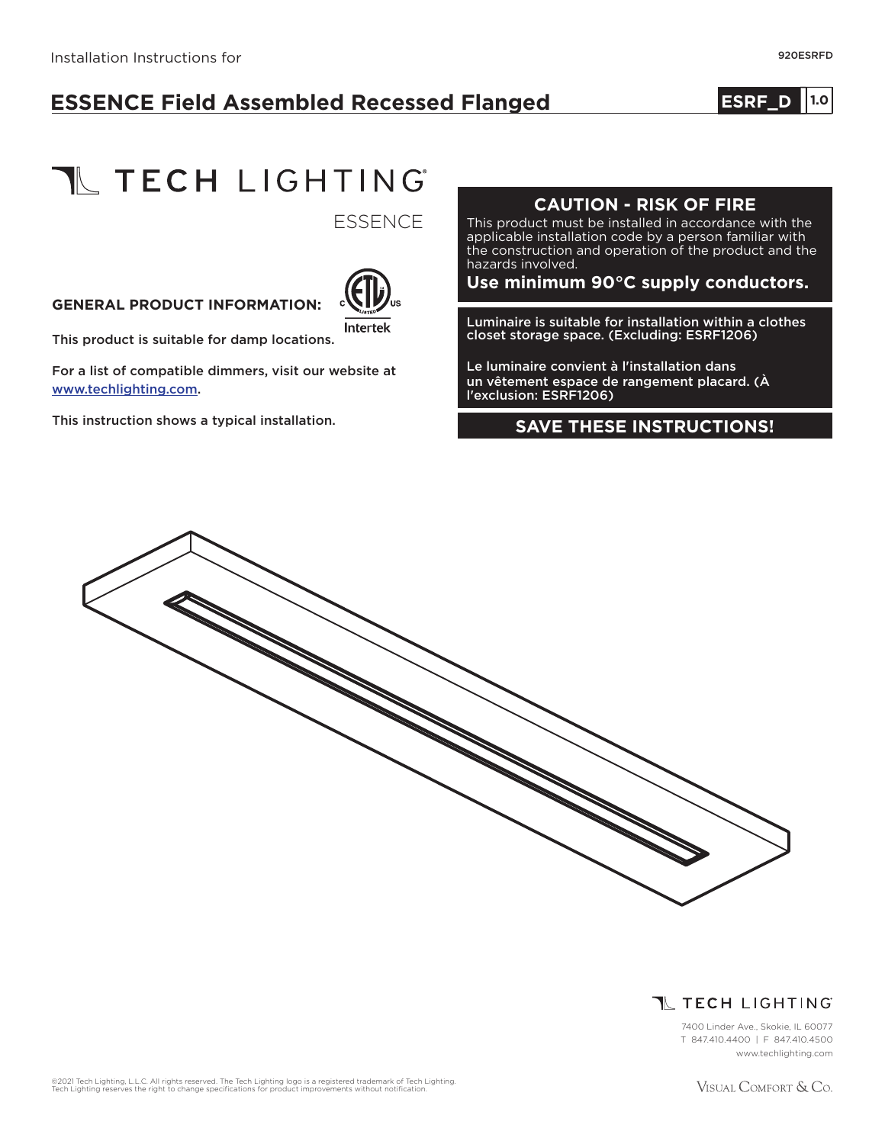# **ESSENCE Field Assembled Recessed Flanged**

## **ESRF\_D** 1.0

**TL TECH LIGHTING** 

**ESSENCE** 

#### **GENERAL PRODUCT INFORMATION:**



This product is suitable for damp locations.

For a list of compatible dimmers, visit our website at www.techlighting.com.

This instruction shows a typical installation.

#### **CAUTION - RISK OF FIRE**

This product must be installed in accordance with the applicable installation code by a person familiar with the construction and operation of the product and the hazards involved.

#### **Use minimum 90°C supply conductors.**

Luminaire is suitable for installation within a clothes closet storage space. (Excluding: ESRF1206)

Le luminaire convient à l'installation dans un vêtement espace de rangement placard. (À l'exclusion: ESRF1206)

#### **SAVE THESE INSTRUCTIONS!**



## **T** TECH LIGHTING

7400 Linder Ave., Skokie, IL 60077 T 847.410.4400 | F 847.410.4500 www.techlighting.com

©2021 Tech Lighting, L.L.C. All rights reserved. The Tech Lighting logo is a registered trademark of Tech Lighting.<br>Tech Lighting reserves the right to change specifications for product improvements without notification.

VISUAL COMFORT & Co.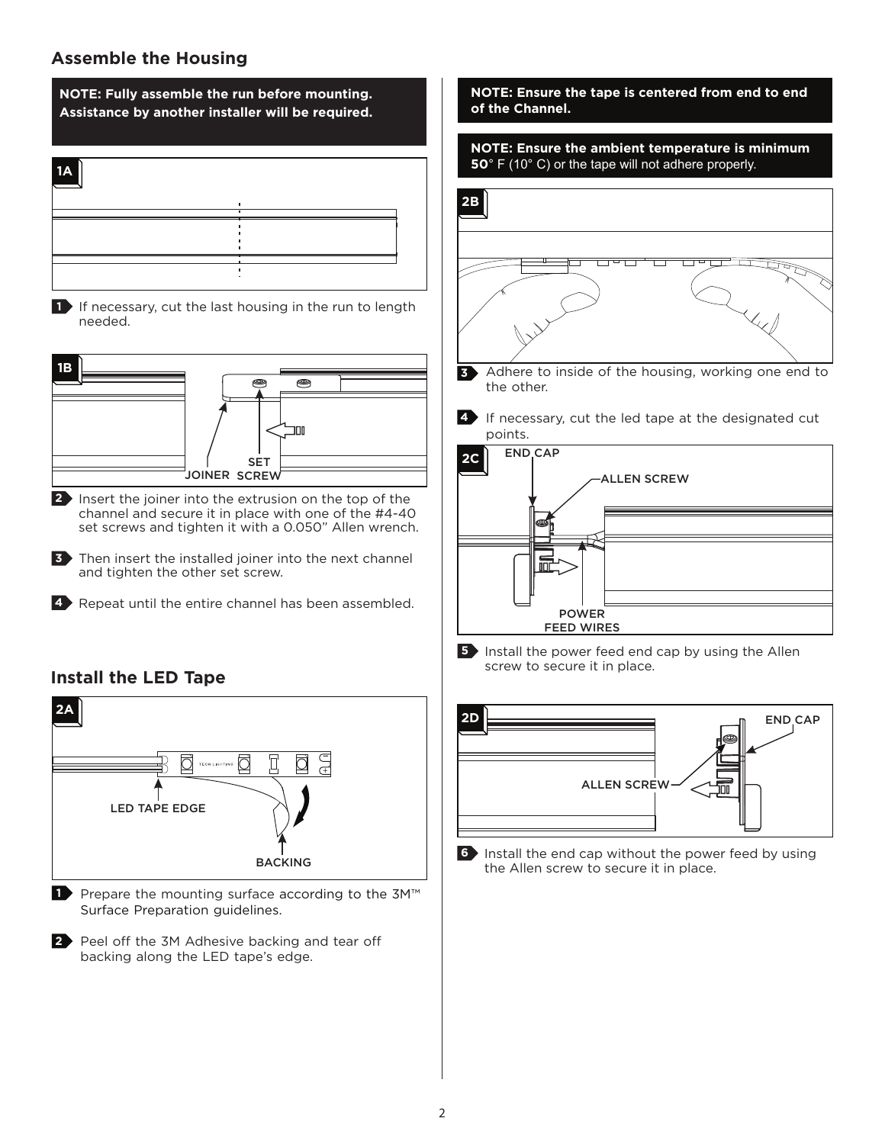## **Assemble the Housing**





**2** Insert the joiner into the extrusion on the top of the channel and secure it in place with one of the #4-40 set screws and tighten it with a 0.050" Allen wrench.

**3** Then insert the installed joiner into the next channel and tighten the other set screw.

4 Repeat until the entire channel has been assembled.

## **Install the LED Tape**



■ Prepare the mounting surface according to the 3M<sup>™</sup> Surface Preparation guidelines.

**Peel off the 3M Adhesive backing and tear off** backing along the LED tape's edge.

**NOTE: Ensure the tape is centered from end to end of the Channel.**



**5** Install the power feed end cap by using the Allen screw to secure it in place.



**6** Install the end cap without the power feed by using the Allen screw to secure it in place.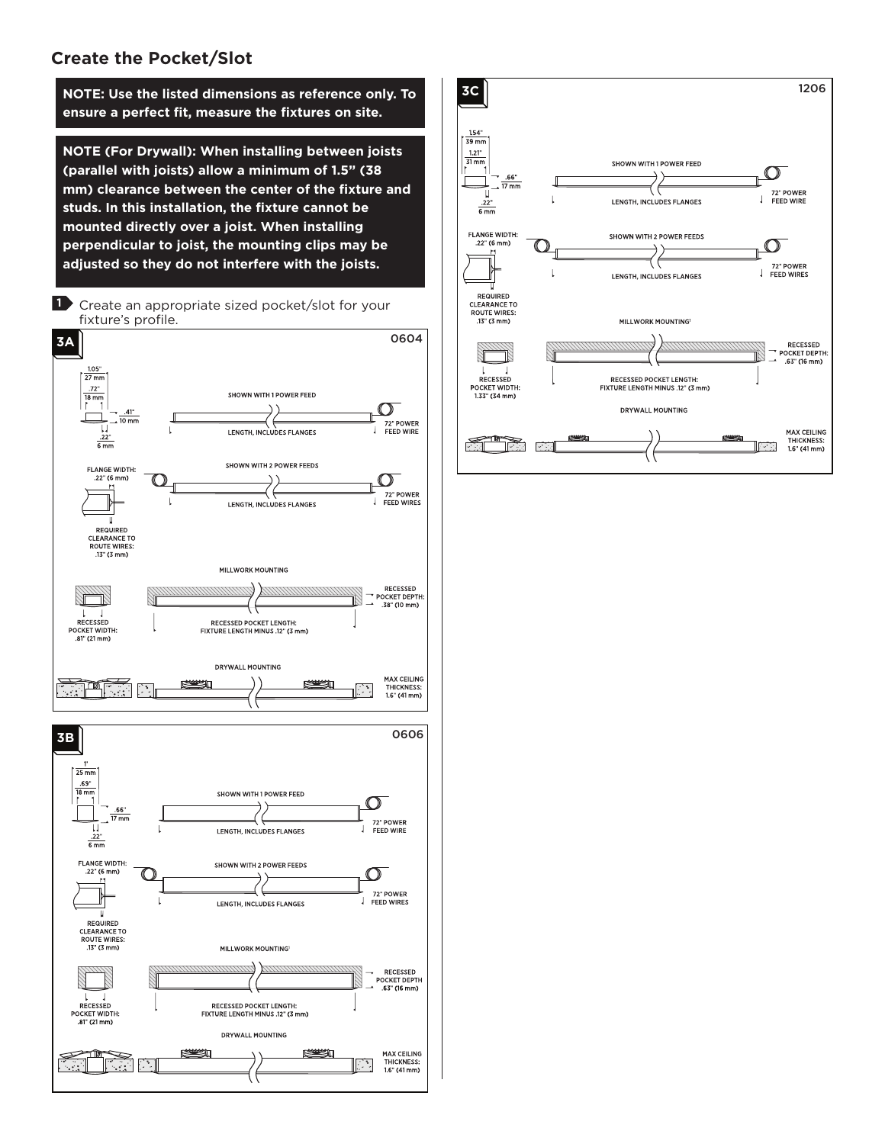### **Create the Pocket/Slot**

**NOTE: Use the listed dimensions as reference only. To ensure a perfect fit, measure the fixtures on site.**

**NOTE (For Drywall): When installing between joists (parallel with joists) allow a minimum of 1.5" (38 mm) clearance between the center of the fixture and studs. In this installation, the fixture cannot be mounted directly over a joist. When installing perpendicular to joist, the mounting clips may be adjusted so they do not interfere with the joists.**



RECESSED POCKET LENGTH:<br>FIXTURE LENGTH MINUS .12" (3 mm)

DRYWALL MOUNTING

**Reserves** 

**Reason** 

 $\mathbf{L}$  $\mathbf{I}$ RECESSED

POCKET WIDTH: 

T™

RECESSED<br>POCKET DEPTH<br>.63" (16 mm)

**MAX CEILING** 

THICKNESS:<br>1.6" (41 mm)

 $\mathbb{Z}$